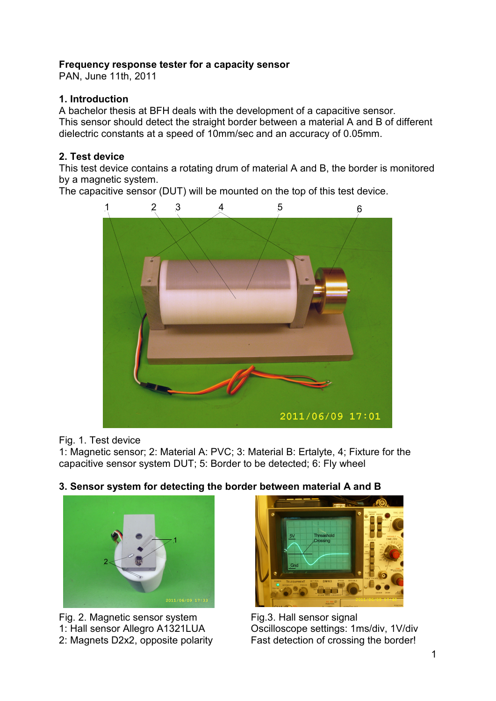## **Frequency response tester for a capacity sensor**

PAN, June 11th, 2011

### **1. Introduction**

A bachelor thesis at BFH deals with the development of a capacitive sensor. This sensor should detect the straight border between a material A and B of different dielectric constants at a speed of 10mm/sec and an accuracy of 0.05mm.

## **2. Test device**

This test device contains a rotating drum of material A and B, the border is monitored by a magnetic system.

The capacitive sensor (DUT) will be mounted on the top of this test device.



#### Fig. 1. Test device

1: Magnetic sensor; 2: Material A: PVC; 3: Material B: Ertalyte, 4; Fixture for the capacitive sensor system DUT; 5: Border to be detected; 6: Fly wheel

# **3. Sensor system for detecting the border between material A and B**



Fig. 2. Magnetic sensor system 1: Hall sensor Allegro A1321LUA 2: Magnets D2x2, opposite polarity



Fig.3. Hall sensor signal Oscilloscope settings: 1ms/div, 1V/div Fast detection of crossing the border!